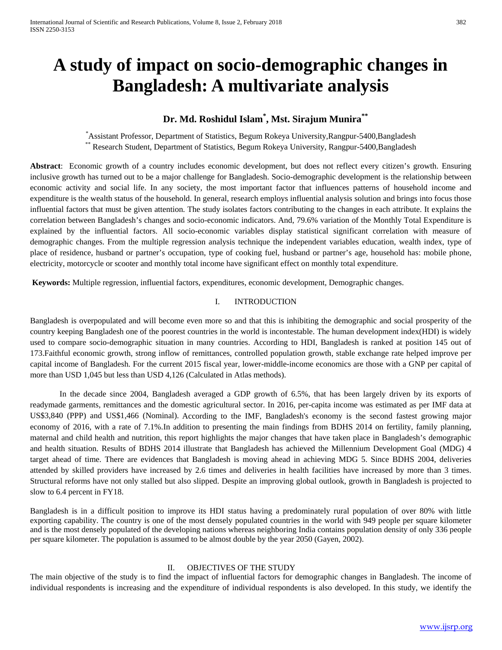# **A study of impact on socio-demographic changes in Bangladesh: A multivariate analysis**

# **Dr. Md. Roshidul Islam\* , Mst. Sirajum Munira\*\***

\* Assistant Professor, Department of Statistics, Begum Rokeya University,Rangpur-5400,Bangladesh \*\* Research Student, Department of Statistics, Begum Rokeya University, Rangpur-5400,Bangladesh

**Abstract**: Economic growth of a country includes economic development, but does not reflect every citizen's growth. Ensuring inclusive growth has turned out to be a major challenge for Bangladesh. Socio-demographic development is the relationship between economic activity and social life. In any society, the most important factor that influences patterns of household income and expenditure is the wealth status of the household. In general, research employs influential analysis solution and brings into focus those influential factors that must be given attention. The study isolates factors contributing to the changes in each attribute. It explains the correlation between Bangladesh's changes and socio-economic indicators. And, 79.6% variation of the Monthly Total Expenditure is explained by the influential factors. All socio-economic variables display statistical significant correlation with measure of demographic changes. From the multiple regression analysis technique the independent variables education, wealth index, type of place of residence, husband or partner's occupation, type of cooking fuel, husband or partner's age, household has: mobile phone, electricity, motorcycle or scooter and monthly total income have significant effect on monthly total expenditure.

**Keywords:** Multiple regression, influential factors, expenditures, economic development, Demographic changes.

## I. INTRODUCTION

Bangladesh is overpopulated and will become even more so and that this is inhibiting the demographic and social prosperity of the country keeping Bangladesh one of the poorest countries in the world is incontestable. The human development index(HDI) is widely used to compare socio-demographic situation in many countries. According to HDI, Bangladesh is ranked at position 145 out of 173.Faithful economic growth, strong inflow of remittances, controlled population growth, stable exchange rate helped improve per capital income of Bangladesh. For the current 2015 fiscal year, lower-middle-income economics are those with a GNP per capital of more than USD 1,045 but less than USD 4,126 (Calculated in Atlas methods).

In the decade since 2004, Bangladesh averaged a GDP growth of 6.5%, that has been largely driven by its exports of [readymade garments,](https://en.wikipedia.org/wiki/Bangladeshi_RMG_Sector) [remittances](https://en.wikipedia.org/wiki/Remittance_to_Bangladesh) and the domestic [agricultural sector.](https://en.wikipedia.org/wiki/Agriculture_in_Bangladesh) In 2016, per-capita income was estimated as per IMF data at US\$3,840 (PPP) and US\$1,466 (Nominal). According to the IMF, Bangladesh's economy is the second fastest growing major economy of 2016, with a rate of 7.1%.In addition to presenting the main findings from BDHS 2014 on fertility, family planning, maternal and child health and nutrition, this report highlights the major changes that have taken place in Bangladesh's demographic and health situation. Results of BDHS 2014 illustrate that Bangladesh has achieved the Millennium Development Goal (MDG) 4 target ahead of time. There are evidences that Bangladesh is moving ahead in achieving MDG 5. Since BDHS 2004, deliveries attended by skilled providers have increased by 2.6 times and deliveries in health facilities have increased by more than 3 times. Structural reforms have not only stalled but also slipped. Despite an improving global outlook, growth in Bangladesh is projected to slow to 6.4 percent in FY18.

Bangladesh is in a difficult position to improve its HDI status having a predominately rural population of over 80% with little exporting capability. The country is one of the most densely populated countries in the world with 949 people per square kilometer and is the most densely populated of the developing nations whereas neighboring India contains population density of only 336 people per square kilometer. The population is assumed to be almost double by the year 2050 (Gayen, 2002).

#### II. OBJECTIVES OF THE STUDY

The main objective of the study is to find the impact of influential factors for demographic changes in Bangladesh. The income of individual respondents is increasing and the expenditure of individual respondents is also developed. In this study, we identify the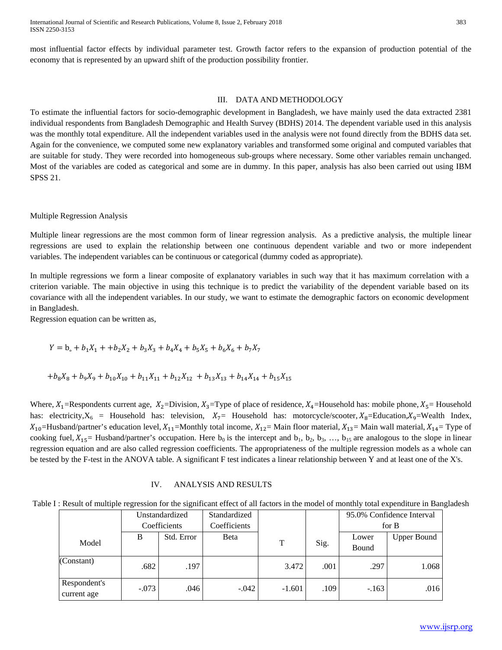International Journal of Scientific and Research Publications, Volume 8, Issue 2, February 2018 383 ISSN 2250-3153

most influential factor effects by individual parameter test. Growth factor refers to the expansion of production potential of the economy that is represented by an upward shift of the production possibility frontier.

#### III. DATA AND METHODOLOGY

To estimate the influential factors for socio-demographic development in Bangladesh, we have mainly used the data extracted 2381 individual respondents from Bangladesh Demographic and Health Survey (BDHS) 2014. The dependent variable used in this analysis was the monthly total expenditure. All the independent variables used in the analysis were not found directly from the BDHS data set. Again for the convenience, we computed some new explanatory variables and transformed some original and computed variables that are suitable for study. They were recorded into homogeneous sub-groups where necessary. Some other variables remain unchanged. Most of the variables are coded as categorical and some are in dummy. In this paper, analysis has also been carried out using IBM SPSS 21.

#### Multiple Regression Analysis

Multiple linear [regressions](http://www.statisticssolutions.com/academic-solutions/membership-resources/member-profile/data-analysis-plan-templates/data-analysis-plan-multiple-linear-regression/) are the most common form of linear regression analysis. As a predictive analysis, the multiple linear regressions are used to explain the relationship between one continuous dependent variable and two or more independent variables. The independent variables can be continuous or categorical (dummy coded as appropriate).

In multiple regressions we form a linear composite of explanatory variables in such way that it has maximum correlation with a criterion variable. The main objective in using this technique is to predict the variability of the dependent variable based on its covariance with all the independent variables. In our study, we want to estimate the demographic factors on economic development in Bangladesh.

Regression equation can be written as,

$$
Y = b_{0} + b_{1}X_{1} + b_{2}X_{2} + b_{3}X_{3} + b_{4}X_{4} + b_{5}X_{5} + b_{6}X_{6} + b_{7}X_{7}
$$

$$
+b_8X_8+b_9X_9+b_{10}X_{10}+b_{11}X_{11}+b_{12}X_{12}+b_{13}X_{13}+b_{14}X_{14}+b_{15}X_{15}
$$

Where,  $X_1$ =Respondents current age,  $X_2$ =Division,  $X_3$ =Type of place of residence,  $X_4$ =Household has: mobile phone,  $X_5$ = Household has: electricity, $X_6$  = Household has: television,  $X_7$ = Household has: motorcycle/scooter,  $X_8$ =Education,  $X_9$ =Wealth Index,  $X_{10}$ =Husband/partner's education level,  $X_{11}$ =Monthly total income,  $X_{12}$ = Main floor material,  $X_{13}$ = Main wall material,  $X_{14}$ = Type of cooking fuel,  $X_{15}$  Husband/partner's occupation. Here  $b_0$  is the intercept and  $b_1$ ,  $b_2$ ,  $b_3$ , ...,  $b_{15}$  are analogous to the slope in [linear](https://explorable.com/linear-regression-analysis) [regression](https://explorable.com/linear-regression-analysis) equation and are also called regression coefficients. The appropriateness of the multiple regression models as a whole can be tested by the F-test in the [ANOVA](https://explorable.com/anova) table. A significant F test indicates a linear relationship between Y and at least one of the X's.

#### IV. ANALYSIS AND RESULTS

Table I: Result of multiple regression for the significant effect of all factors in the model of monthly total expenditure in Bangladesh

|                             | Unstandardized |            | Standardized |          |      |              | 95.0% Confidence Interval |
|-----------------------------|----------------|------------|--------------|----------|------|--------------|---------------------------|
|                             | Coefficients   |            | Coefficients |          |      |              | for $B$                   |
|                             | B              | Std. Error | Beta         |          | Sig. | Lower        | <b>Upper Bound</b>        |
| Model                       |                |            |              | T        |      | <b>Bound</b> |                           |
| (Constant)                  | .682           | .197       |              | 3.472    | .001 | .297         | 1.068                     |
| Respondent's<br>current age | $-.073$        | .046       | $-.042$      | $-1.601$ | .109 | $-.163$      | .016                      |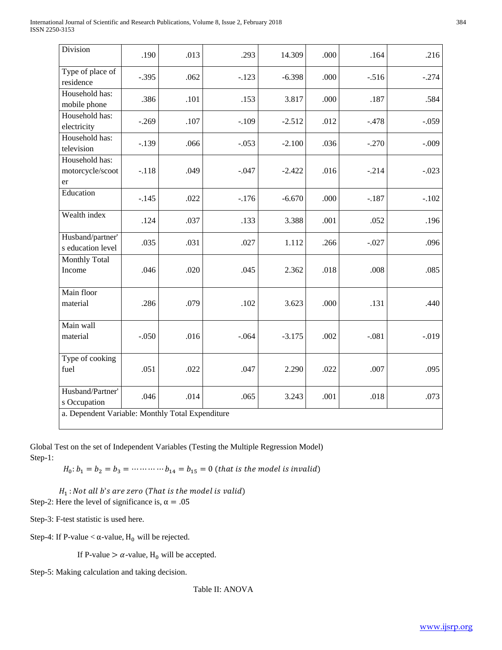| Division                                         | .190    | .013 | .293    | 14.309   | .000 | .164    | .216    |
|--------------------------------------------------|---------|------|---------|----------|------|---------|---------|
| Type of place of<br>residence                    | $-.395$ | .062 | $-.123$ | $-6.398$ | .000 | $-.516$ | $-.274$ |
| Household has:<br>mobile phone                   | .386    | .101 | .153    | 3.817    | .000 | .187    | .584    |
| Household has:<br>electricity                    | $-.269$ | .107 | $-.109$ | $-2.512$ | .012 | $-.478$ | $-.059$ |
| Household has:<br>television                     | $-.139$ | .066 | $-.053$ | $-2.100$ | .036 | $-.270$ | $-.009$ |
| Household has:<br>motorcycle/scoot<br>er         | $-.118$ | .049 | $-.047$ | $-2.422$ | .016 | $-.214$ | $-.023$ |
| Education                                        | $-.145$ | .022 | $-176$  | $-6.670$ | .000 | $-.187$ | $-.102$ |
| Wealth index                                     | .124    | .037 | .133    | 3.388    | .001 | .052    | .196    |
| Husband/partner'<br>s education level            | .035    | .031 | .027    | 1.112    | .266 | $-.027$ | .096    |
| <b>Monthly Total</b><br>Income                   | .046    | .020 | .045    | 2.362    | .018 | .008    | .085    |
| Main floor<br>material                           | .286    | .079 | .102    | 3.623    | .000 | .131    | .440    |
| Main wall<br>material                            | $-.050$ | .016 | $-.064$ | $-3.175$ | .002 | $-.081$ | $-.019$ |
| Type of cooking<br>fuel                          | .051    | .022 | .047    | 2.290    | .022 | .007    | .095    |
| Husband/Partner'<br>s Occupation                 | .046    | .014 | .065    | 3.243    | .001 | .018    | .073    |
| a. Dependent Variable: Monthly Total Expenditure |         |      |         |          |      |         |         |

Global Test on the set of Independent Variables (Testing the Multiple Regression Model) Step-1:

 $H_0: b_1 = b_2 = b_3 = \dots + b_{14} = b_{15} = 0$  (that is the model is invalid)

 $H_1$ : Not all b's are zero (That is the model is valid) Step-2: Here the level of significance is,  $\alpha = .05$ 

Step-3: F-test statistic is used here.

Step-4: If P-value <  $\alpha$ -value, H<sub>0</sub> will be rejected.

If P-value  $> \alpha$ -value, H<sub>0</sub> will be accepted.

Step-5: Making calculation and taking decision.

Table II: ANOVA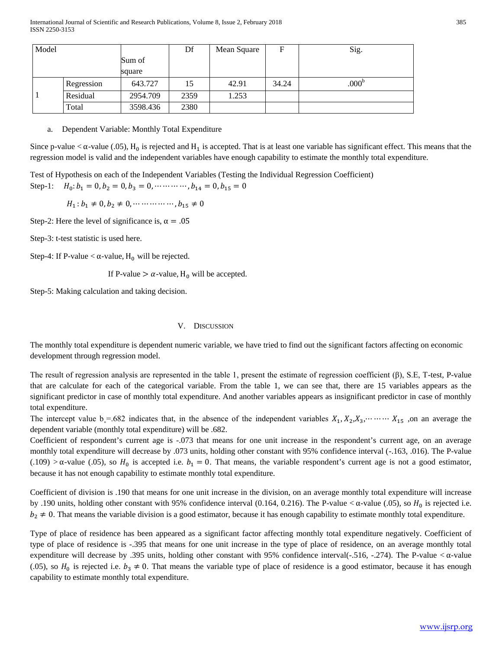| Model |            |          | Df   | Mean Square | F     | Sig.              |
|-------|------------|----------|------|-------------|-------|-------------------|
|       |            | Sum of   |      |             |       |                   |
|       |            | square   |      |             |       |                   |
|       | Regression | 643.727  | 15   | 42.91       | 34.24 | .000 <sup>b</sup> |
|       | Residual   | 2954.709 | 2359 | 1.253       |       |                   |
|       | Total      | 3598.436 | 2380 |             |       |                   |

a. Dependent Variable: Monthly Total Expenditure

Since p-value <  $\alpha$ -value (.05), H<sub>0</sub> is rejected and H<sub>1</sub> is accepted. That is at least one variable has significant effect. This means that the regression model is valid and the independent variables have enough capability to estimate the monthly total expenditure.

Test of Hypothesis on each of the Independent Variables (Testing the Individual Regression Coefficient) Step-1:  $H_0: b_1 = 0, b_2 = 0, b_3 = 0, \dots, b_{14} = 0, b_{15} = 0$ 

 $H_1 : b_1 \neq 0, b_2 \neq 0, \dots \dots \dots \dots, b_{15} \neq 0$ 

Step-2: Here the level of significance is,  $\alpha = .05$ 

Step-3: t-test statistic is used here.

Step-4: If P-value  $< \alpha$ -value, H<sub>0</sub> will be rejected.

If P-value  $> \alpha$ -value, H<sub>0</sub> will be accepted.

Step-5: Making calculation and taking decision.

#### V. DISCUSSION

The monthly total expenditure is dependent numeric variable, we have tried to find out the significant factors affecting on economic development through regression model.

The result of regression analysis are represented in the table 1, present the estimate of regression coefficient (β), S.E, T-test, P-value that are calculate for each of the categorical variable. From the table 1, we can see that, there are 15 variables appears as the significant predictor in case of monthly total expenditure. And another variables appears as insignificant predictor in case of monthly total expenditure.

The intercept value  $b_{\circ}=0.682$  indicates that, in the absence of the independent variables  $X_1, X_2, X_3, \cdots \cdots \cdots X_{15}$  , on an average the dependent variable (monthly total expenditure) will be .682.

Coefficient of respondent's current age is -.073 that means for one unit increase in the respondent's current age, on an average monthly total expenditure will decrease by .073 units, holding other constant with 95% confidence interval (-.163, .016). The P-value (.109) >  $\alpha$ -value (.05), so  $H_0$  is accepted i.e.  $b_1 = 0$ . That means, the variable respondent's current age is not a good estimator, because it has not enough capability to estimate monthly total expenditure.

Coefficient of division is .190 that means for one unit increase in the division, on an average monthly total expenditure will increase by .190 units, holding other constant with 95% confidence interval (0.164, 0.216). The P-value  $\alpha$ -value (.05), so  $H_0$  is rejected i.e.  $b_2 \neq 0$ . That means the variable division is a good estimator, because it has enough capability to estimate monthly total expenditure.

Type of place of residence has been appeared as a significant factor affecting monthly total expenditure negatively. Coefficient of type of place of residence is -.395 that means for one unit increase in the type of place of residence, on an average monthly total expenditure will decrease by .395 units, holding other constant with 95% confidence interval( $-0.516$ ,  $-0.274$ ). The P-value  $$\alpha$ -value$ (.05), so  $H_0$  is rejected i.e.  $b_3 \neq 0$ . That means the variable type of place of residence is a good estimator, because it has enough capability to estimate monthly total expenditure.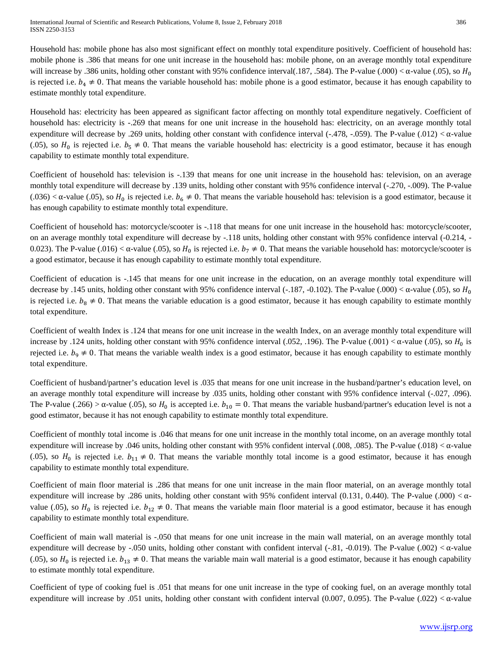Household has: mobile phone has also most significant effect on monthly total expenditure positively. Coefficient of household has: mobile phone is .386 that means for one unit increase in the household has: mobile phone, on an average monthly total expenditure will increase by .386 units, holding other constant with 95% confidence interval(.187, .584). The P-value (.000) <  $\alpha$ -value (.05), so  $H_0$ is rejected i.e.  $b_4 \neq 0$ . That means the variable household has: mobile phone is a good estimator, because it has enough capability to estimate monthly total expenditure.

Household has: electricity has been appeared as significant factor affecting on monthly total expenditure negatively. Coefficient of household has: electricity is -.269 that means for one unit increase in the household has: electricity, on an average monthly total expenditure will decrease by .269 units, holding other constant with confidence interval (-.478, -.059). The P-value (.012) < α-value (.05), so  $H_0$  is rejected i.e.  $b_5 \neq 0$ . That means the variable household has: electricity is a good estimator, because it has enough capability to estimate monthly total expenditure.

Coefficient of household has: television is -.139 that means for one unit increase in the household has: television, on an average monthly total expenditure will decrease by .139 units, holding other constant with 95% confidence interval (-.270, -.009). The P-value  $(0.036) < \alpha$ -value (0.05), so  $H_0$  is rejected i.e.  $b_6 \neq 0$ . That means the variable household has: television is a good estimator, because it has enough capability to estimate monthly total expenditure.

Coefficient of household has: motorcycle/scooter is -.118 that means for one unit increase in the household has: motorcycle/scooter, on an average monthly total expenditure will decrease by -.118 units, holding other constant with 95% confidence interval (-0.214, - 0.023). The P-value (.016) <  $\alpha$ -value (.05), so  $H_0$  is rejected i.e.  $b_7 \neq 0$ . That means the variable household has: motorcycle/scooter is a good estimator, because it has enough capability to estimate monthly total expenditure.

Coefficient of education is -.145 that means for one unit increase in the education, on an average monthly total expenditure will decrease by .145 units, holding other constant with 95% confidence interval (-.187, -0.102). The P-value (.000)  $<\alpha$ -value (.05), so  $H_0$ is rejected i.e.  $b_8 \neq 0$ . That means the variable education is a good estimator, because it has enough capability to estimate monthly total expenditure.

Coefficient of wealth Index is .124 that means for one unit increase in the wealth Index, on an average monthly total expenditure will increase by .124 units, holding other constant with 95% confidence interval (.052, .196). The P-value (.001) < α-value (.05), so  $H_0$  is rejected i.e.  $b_9 \neq 0$ . That means the variable wealth index is a good estimator, because it has enough capability to estimate monthly total expenditure.

Coefficient of husband/partner's education level is .035 that means for one unit increase in the husband/partner's education level, on an average monthly total expenditure will increase by .035 units, holding other constant with 95% confidence interval (-.027, .096). The P-value (.266) >  $\alpha$ -value (.05), so  $H_0$  is accepted i.e.  $b_{10} = 0$ . That means the variable husband/partner's education level is not a good estimator, because it has not enough capability to estimate monthly total expenditure.

Coefficient of monthly total income is .046 that means for one unit increase in the monthly total income, on an average monthly total expenditure will increase by .046 units, holding other constant with 95% confident interval (.008, .085). The P-value (.018) < α-value (.05), so  $H_0$  is rejected i.e.  $b_{11} \neq 0$ . That means the variable monthly total income is a good estimator, because it has enough capability to estimate monthly total expenditure.

Coefficient of main floor material is .286 that means for one unit increase in the main floor material, on an average monthly total expenditure will increase by .286 units, holding other constant with 95% confident interval (0.131, 0.440). The P-value (.000)  $< \alpha$ value (.05), so  $H_0$  is rejected i.e.  $b_{12} \neq 0$ . That means the variable main floor material is a good estimator, because it has enough capability to estimate monthly total expenditure.

Coefficient of main wall material is -.050 that means for one unit increase in the main wall material, on an average monthly total expenditure will decrease by -.050 units, holding other constant with confident interval (-.81, -0.019). The P-value (.002)  $< \alpha$ -value (.05), so  $H_0$  is rejected i.e.  $b_{13} \neq 0$ . That means the variable main wall material is a good estimator, because it has enough capability to estimate monthly total expenditure.

Coefficient of type of cooking fuel is .051 that means for one unit increase in the type of cooking fuel, on an average monthly total expenditure will increase by .051 units, holding other constant with confident interval (0.007, 0.095). The P-value (.022)  $< \alpha$ -value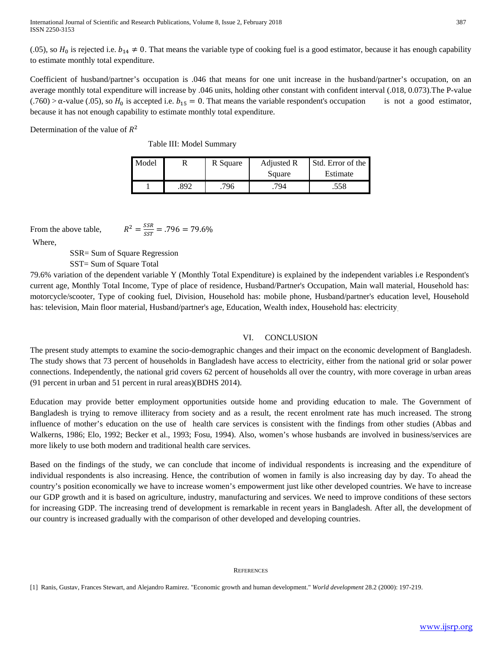(.05), so  $H_0$  is rejected i.e.  $b_{14} \neq 0$ . That means the variable type of cooking fuel is a good estimator, because it has enough capability to estimate monthly total expenditure.

Coefficient of husband/partner's occupation is .046 that means for one unit increase in the husband/partner's occupation, on an average monthly total expenditure will increase by .046 units, holding other constant with confident interval (.018, 0.073).The P-value (.760) >  $\alpha$ -value (.05), so  $H_0$  is accepted i.e.  $b_{15} = 0$ . That means the variable respondent's occupation is not a good estimator, because it has not enough capability to estimate monthly total expenditure.

Determination of the value of  $R^2$ 

Table III: Model Summary

 $R^2 = \frac{SSR}{SST} = .796 = 79.6\%$ 

| Model |     | R Square | Adjusted R | Std. Error of the |
|-------|-----|----------|------------|-------------------|
|       |     |          | Square     | Estimate          |
|       | 892 | 796      | 794        | .558              |

From the above table,

Where,

SSR= Sum of Square Regression

SST= Sum of Square Total

79.6% variation of the dependent variable Y (Monthly Total Expenditure) is explained by the independent variables i.e Respondent's current age, Monthly Total Income, Type of place of residence, Husband/Partner's Occupation, Main wall material, Household has: motorcycle/scooter, Type of cooking fuel, Division, Household has: mobile phone, Husband/partner's education level, Household has: television, Main floor material, Husband/partner's age, Education, Wealth index, Household has: electricity

## VI. CONCLUSION

The present study attempts to examine the socio-demographic changes and their impact on the economic development of Bangladesh. The study shows that 73 percent of households in Bangladesh have access to electricity, either from the national grid or solar power connections. Independently, the national grid covers 62 percent of households all over the country, with more coverage in urban areas (91 percent in urban and 51 percent in rural areas)(BDHS 2014).

Education may provide better employment opportunities outside home and providing education to male. The Government of Bangladesh is trying to remove illiteracy from society and as a result, the recent enrolment rate has much increased. The strong influence of mother's education on the use of health care services is consistent with the findings from other studies (Abbas and Walkerns, 1986; Elo, 1992; Becker et al., 1993; Fosu, 1994). Also, women's whose husbands are involved in business/services are more likely to use both modern and traditional health care services.

Based on the findings of the study, we can conclude that income of individual respondents is increasing and the expenditure of individual respondents is also increasing. Hence, the contribution of women in family is also increasing day by day. To ahead the country's position economically we have to increase women's empowerment just like other developed countries. We have to increase our GDP growth and it is based on agriculture, industry, manufacturing and services. We need to improve conditions of these sectors for increasing GDP. The increasing trend of development is remarkable in recent years in Bangladesh. After all, the development of our country is increased gradually with the comparison of other developed and developing countries.

#### **REFERENCES**

[1] Ranis, Gustav, Frances Stewart, and Alejandro Ramirez. "Economic growth and human development." *World development* 28.2 (2000): 197-219.